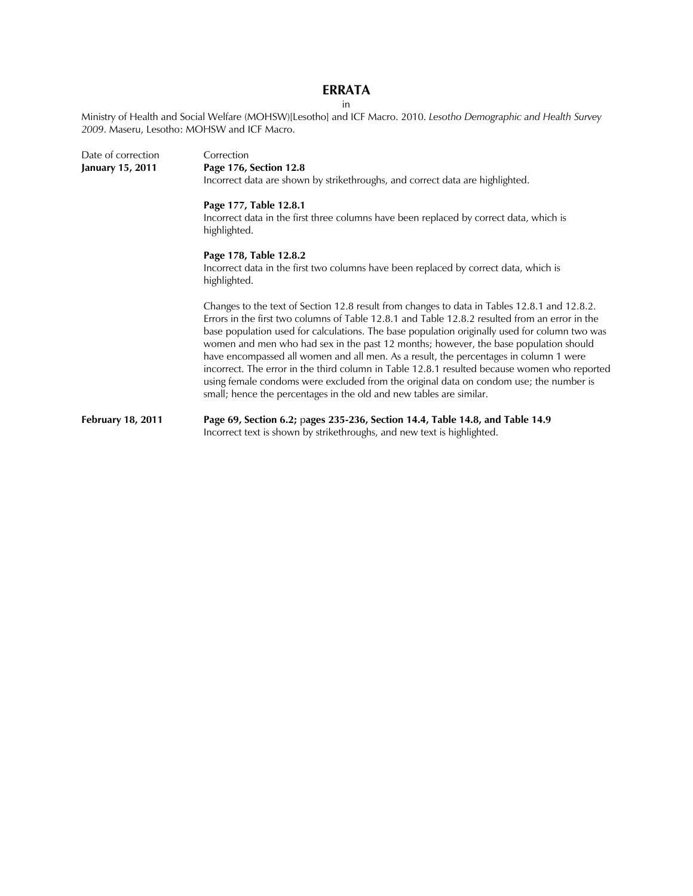# **ERRATA**  in

Ministry of Health and Social Welfare (MOHSW)[Lesotho] and ICF Macro. 2010. *Lesotho Demographic and Health Survey 2009*. Maseru, Lesotho: MOHSW and ICF Macro.

| Date of correction       | Correction                                                                                                                                                                                                                                                                                                                                                                                                                                                                                                                                                                                                                                                                                                                                        |  |  |  |  |  |  |  |
|--------------------------|---------------------------------------------------------------------------------------------------------------------------------------------------------------------------------------------------------------------------------------------------------------------------------------------------------------------------------------------------------------------------------------------------------------------------------------------------------------------------------------------------------------------------------------------------------------------------------------------------------------------------------------------------------------------------------------------------------------------------------------------------|--|--|--|--|--|--|--|
| January 15, 2011         | Page 176, Section 12.8                                                                                                                                                                                                                                                                                                                                                                                                                                                                                                                                                                                                                                                                                                                            |  |  |  |  |  |  |  |
|                          | Incorrect data are shown by strikethroughs, and correct data are highlighted.                                                                                                                                                                                                                                                                                                                                                                                                                                                                                                                                                                                                                                                                     |  |  |  |  |  |  |  |
|                          | Page 177, Table 12.8.1                                                                                                                                                                                                                                                                                                                                                                                                                                                                                                                                                                                                                                                                                                                            |  |  |  |  |  |  |  |
|                          | Incorrect data in the first three columns have been replaced by correct data, which is<br>highlighted.                                                                                                                                                                                                                                                                                                                                                                                                                                                                                                                                                                                                                                            |  |  |  |  |  |  |  |
|                          | Page 178, Table 12.8.2                                                                                                                                                                                                                                                                                                                                                                                                                                                                                                                                                                                                                                                                                                                            |  |  |  |  |  |  |  |
|                          | Incorrect data in the first two columns have been replaced by correct data, which is<br>highlighted.                                                                                                                                                                                                                                                                                                                                                                                                                                                                                                                                                                                                                                              |  |  |  |  |  |  |  |
|                          | Changes to the text of Section 12.8 result from changes to data in Tables 12.8.1 and 12.8.2.<br>Errors in the first two columns of Table 12.8.1 and Table 12.8.2 resulted from an error in the<br>base population used for calculations. The base population originally used for column two was<br>women and men who had sex in the past 12 months; however, the base population should<br>have encompassed all women and all men. As a result, the percentages in column 1 were<br>incorrect. The error in the third column in Table 12.8.1 resulted because women who reported<br>using female condoms were excluded from the original data on condom use; the number is<br>small; hence the percentages in the old and new tables are similar. |  |  |  |  |  |  |  |
| <b>February 18, 2011</b> | Page 69, Section 6.2; pages 235-236, Section 14.4, Table 14.8, and Table 14.9<br>Incorrect text is shown by strikethroughs, and new text is highlighted.                                                                                                                                                                                                                                                                                                                                                                                                                                                                                                                                                                                          |  |  |  |  |  |  |  |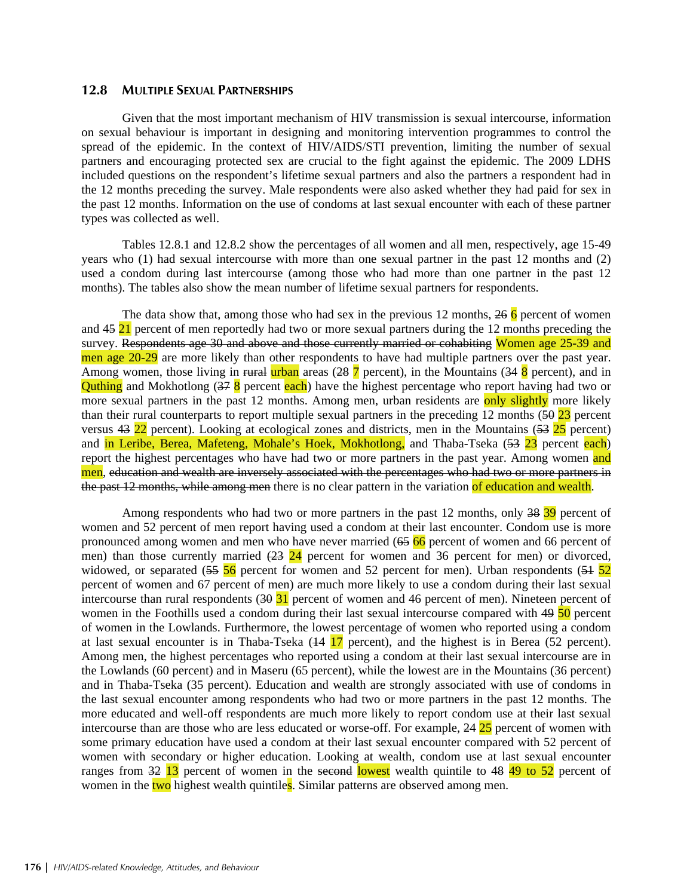### **12.8 MULTIPLE SEXUAL PARTNERSHIPS**

Given that the most important mechanism of HIV transmission is sexual intercourse, information on sexual behaviour is important in designing and monitoring intervention programmes to control the spread of the epidemic. In the context of HIV/AIDS/STI prevention, limiting the number of sexual partners and encouraging protected sex are crucial to the fight against the epidemic. The 2009 LDHS included questions on the respondent's lifetime sexual partners and also the partners a respondent had in the 12 months preceding the survey. Male respondents were also asked whether they had paid for sex in the past 12 months. Information on the use of condoms at last sexual encounter with each of these partner types was collected as well.

Tables 12.8.1 and 12.8.2 show the percentages of all women and all men, respectively, age 15-49 years who (1) had sexual intercourse with more than one sexual partner in the past 12 months and (2) used a condom during last intercourse (among those who had more than one partner in the past 12 months). The tables also show the mean number of lifetime sexual partners for respondents.

The data show that, among those who had sex in the previous 12 months,  $266$  percent of women and 45 21 percent of men reportedly had two or more sexual partners during the 12 months preceding the survey. Respondents age 30 and above and those currently married or cohabiting Women age 25-39 and men age 20-29 are more likely than other respondents to have had multiple partners over the past year. Among women, those living in rural urban areas  $(28 \, 7 \, \text{percent})$ , in the Mountains  $(34 \, 8 \, \text{percent})$ , and in **Quthing** and Mokhotlong (37 8 percent each) have the highest percentage who report having had two or more sexual partners in the past 12 months. Among men, urban residents are only slightly more likely than their rural counterparts to report multiple sexual partners in the preceding 12 months (50 23 percent versus  $43\overline{22}$  percent). Looking at ecological zones and districts, men in the Mountains ( $53\overline{25}$  percent) and in Leribe, Berea, Mafeteng, Mohale's Hoek, Mokhotlong, and Thaba-Tseka (53 23 percent each) report the highest percentages who have had two or more partners in the past year. Among women and men, education and wealth are inversely associated with the percentages who had two or more partners in the past 12 months, while among men there is no clear pattern in the variation of education and wealth.

Among respondents who had two or more partners in the past 12 months, only 38 39 percent of women and 52 percent of men report having used a condom at their last encounter. Condom use is more pronounced among women and men who have never married (65 66 percent of women and 66 percent of men) than those currently married  $(23)$   $24$  percent for women and 36 percent for men) or divorced, widowed, or separated  $(55\,56)$  percent for women and 52 percent for men). Urban respondents  $(51\,52)$ percent of women and 67 percent of men) are much more likely to use a condom during their last sexual intercourse than rural respondents  $(30\ 31)$  percent of women and 46 percent of men). Nineteen percent of women in the Foothills used a condom during their last sexual intercourse compared with 49 50 percent of women in the Lowlands. Furthermore, the lowest percentage of women who reported using a condom at last sexual encounter is in Thaba-Tseka  $(14 \ 17 \text{ percent})$ , and the highest is in Berea (52 percent). Among men, the highest percentages who reported using a condom at their last sexual intercourse are in the Lowlands (60 percent) and in Maseru (65 percent), while the lowest are in the Mountains (36 percent) and in Thaba-Tseka (35 percent). Education and wealth are strongly associated with use of condoms in the last sexual encounter among respondents who had two or more partners in the past 12 months. The more educated and well-off respondents are much more likely to report condom use at their last sexual intercourse than are those who are less educated or worse-off. For example, 24 25 percent of women with some primary education have used a condom at their last sexual encounter compared with 52 percent of women with secondary or higher education. Looking at wealth, condom use at last sexual encounter ranges from 32 13 percent of women in the second lowest wealth quintile to 48 49 to 52 percent of women in the two highest wealth quintiles. Similar patterns are observed among men.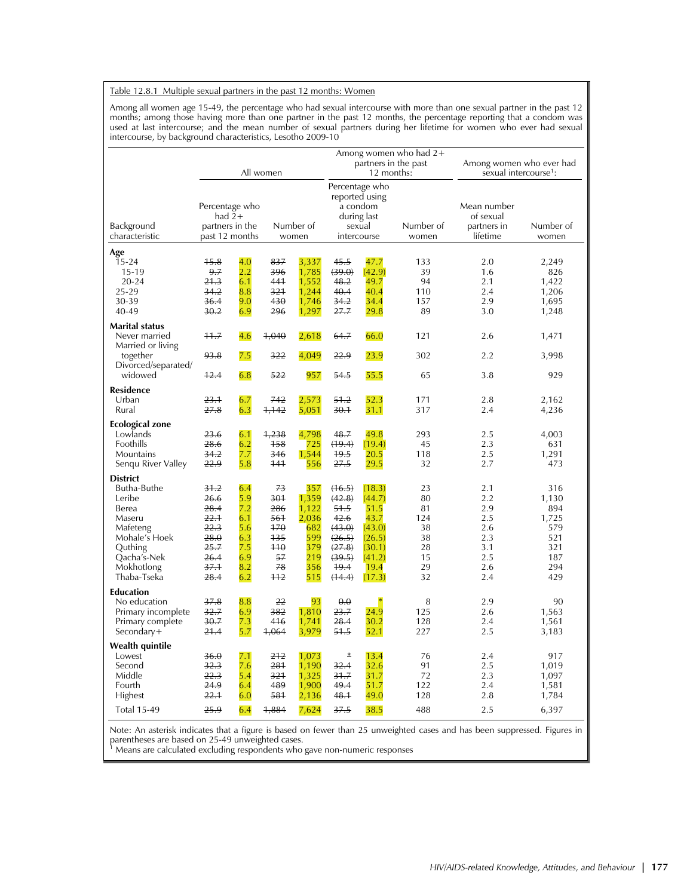#### Table 12.8.1 Multiple sexual partners in the past 12 months: Women

Among all women age 15-49, the percentage who had sexual intercourse with more than one sexual partner in the past 12 months; among those having more than one partner in the past 12 months, the percentage reporting that a condom was used at last intercourse; and the mean number of sexual partners during her lifetime for women who ever had sexual intercourse, by background characteristics, Lesotho 2009-10

|                                                                                                                                                 |                                                                                       |                                                                    | All women                                                                                                  |                                                                          |                                                                                            | partners in the past<br>12 months:                                                         | Among women who had $2+$                                  | Among women who ever had<br>sexual intercourse <sup>1</sup> :      |                                                                        |  |
|-------------------------------------------------------------------------------------------------------------------------------------------------|---------------------------------------------------------------------------------------|--------------------------------------------------------------------|------------------------------------------------------------------------------------------------------------|--------------------------------------------------------------------------|--------------------------------------------------------------------------------------------|--------------------------------------------------------------------------------------------|-----------------------------------------------------------|--------------------------------------------------------------------|------------------------------------------------------------------------|--|
| Background<br>characteristic                                                                                                                    | Percentage who<br>had $2+$<br>partners in the<br>Number of<br>past 12 months<br>women |                                                                    | Percentage who<br>reported using<br>a condom<br>during last<br>sexual<br>Number of<br>intercourse<br>women |                                                                          |                                                                                            | Mean number<br>of sexual<br>partners in<br>lifetime                                        | Number of<br>women                                        |                                                                    |                                                                        |  |
| Age<br>$15 - 24$<br>15-19<br>$20 - 24$<br>25-29<br>30-39<br>40-49                                                                               | 15.8<br>9.7<br>21.3<br>34.2<br>36.4<br>30.2                                           | 4.0<br>2.2<br>6.1<br>8.8<br>9.0<br>6.9                             | 837<br>396<br>441<br>321<br>430<br>296                                                                     | 3,337<br>1,785<br>1,552<br>1,244<br>1,746<br>1,297                       | 45.5<br>(39.0)<br>48.2<br>40.4<br>34.2<br>27.7                                             | 47.7<br>(42.9)<br>49.7<br>40.4<br>34.4<br>29.8                                             | 133<br>39<br>94<br>110<br>157<br>89                       | 2.0<br>1.6<br>2.1<br>2.4<br>2.9<br>3.0                             | 2,249<br>826<br>1,422<br>1,206<br>1,695<br>1,248                       |  |
| Marital status<br>Never married<br>Married or living<br>together<br>Divorced/separated/<br>widowed                                              | 11.7<br>93.8<br>12.4                                                                  | 4.6<br>7.5<br>6.8                                                  | 1,040<br>322<br>522                                                                                        | 2,618<br>4,049<br>957                                                    | 64.7<br>22.9<br>54.5                                                                       | 66.0<br>23.9<br>55.5                                                                       | 121<br>302<br>65                                          | 2.6<br>2.2<br>3.8                                                  | 1,471<br>3,998<br>929                                                  |  |
| <b>Residence</b><br>Urban<br>Rural                                                                                                              | 23.1<br>27.8                                                                          | 6.7<br>6.3                                                         | 742<br>1,142                                                                                               | 2,573<br>5,051                                                           | 51.2<br>30.1                                                                               | 52.3<br>31.1                                                                               | 171<br>317                                                | 2.8<br>2.4                                                         | 2,162<br>4,236                                                         |  |
| Ecological zone<br>Lowlands<br>Foothills<br>Mountains<br>Senqu River Valley                                                                     | 23.6<br>28.6<br>34.2<br>22.9                                                          | 6.1<br>6.2<br>7.7<br>5.8                                           | 1,238<br>158<br>346<br>141                                                                                 | 4,798<br>725<br>1,544<br>556                                             | 48.7<br>(19.4)<br>49.5<br>27.5                                                             | 49.8<br>(19.4)<br>20.5<br>29.5                                                             | 293<br>45<br>118<br>32                                    | 2.5<br>2.3<br>2.5<br>2.7                                           | 4,003<br>631<br>1,291<br>473                                           |  |
| <b>District</b><br>Butha-Buthe<br>Leribe<br>Berea<br>Maseru<br>Mafeteng<br>Mohale's Hoek<br>Quthing<br>Qacha's-Nek<br>Mokhotlong<br>Thaba-Tseka | 31.2<br>26.6<br>28.4<br>22.1<br>22.3<br>28.0<br>25.7<br>26.4<br>37.1<br>28.4          | 6.4<br>5.9<br>7.2<br>6.1<br>5.6<br>6.3<br>7.5<br>6.9<br>8.2<br>6.2 | 73<br>301<br>286<br>561<br>170<br>135<br>110<br>57<br>78<br>$+12$                                          | 357<br>1,359<br>1,122<br>2,036<br>682<br>599<br>379<br>219<br>356<br>515 | (16.5)<br>(42.8)<br>51.5<br>42.6<br>(43.0)<br>(26.5)<br>(27.8)<br>(39.5)<br>19.4<br>(14.4) | (18.3)<br>(44.7)<br>51.5<br>43.7<br>(43.0)<br>(26.5)<br>(30.1)<br>(41.2)<br>19.4<br>(17.3) | 23<br>80<br>81<br>124<br>38<br>38<br>28<br>15<br>29<br>32 | 2.1<br>2.2<br>2.9<br>2.5<br>2.6<br>2.3<br>3.1<br>2.5<br>2.6<br>2.4 | 316<br>1,130<br>894<br>1,725<br>579<br>521<br>321<br>187<br>294<br>429 |  |
| <b>Education</b><br>No education<br>Primary incomplete<br>Primary complete<br>Secondary+                                                        | 37.8<br>32.7<br>30.7<br>21.4                                                          | 8.8<br>6.9<br>7.3<br>5.7                                           | 22<br>382<br>416<br>1,064                                                                                  | 93<br>1,810<br>1,741<br>3,979                                            | $\theta$ . $\theta$<br>23.7<br>28.4<br>51.5                                                | 24.9<br>30.2<br>52.1                                                                       | 8<br>125<br>128<br>227                                    | 2.9<br>2.6<br>2.4<br>2.5                                           | 90<br>1,563<br>1,561<br>3,183                                          |  |
| Wealth quintile<br>Lowest<br>Second<br>Middle<br>Fourth<br>Highest<br><b>Total 15-49</b>                                                        | 36.0<br>32.3<br>22.3<br>24.9<br>22.1<br>25.9                                          | 7.1<br>7.6<br>5.4<br>6.4<br>6.0<br>6.4                             | 212<br>281<br>321<br>489<br>581<br>1,884                                                                   | 1,073<br>1,190<br>1,325<br>1,900<br>2,136<br>7,624                       | Ł<br>32.4<br>31.7<br>49.4<br>48.1<br>37.5                                                  | 13.4<br>32.6<br>31.7<br>51.7<br>49.0<br>38.5                                               | 76<br>91<br>72<br>122<br>128<br>488                       | 2.4<br>2.5<br>2.3<br>2.4<br>2.8<br>2.5                             | 917<br>1,019<br>1,097<br>1,581<br>1,784<br>6,397                       |  |

Note: An asterisk indicates that a figure is based on fewer than 25 unweighted cases and has been suppressed. Figures in parentheses are based on 25-49 unweighted cases. 1 Means are calculated excluding respondents who gave non-numeric responses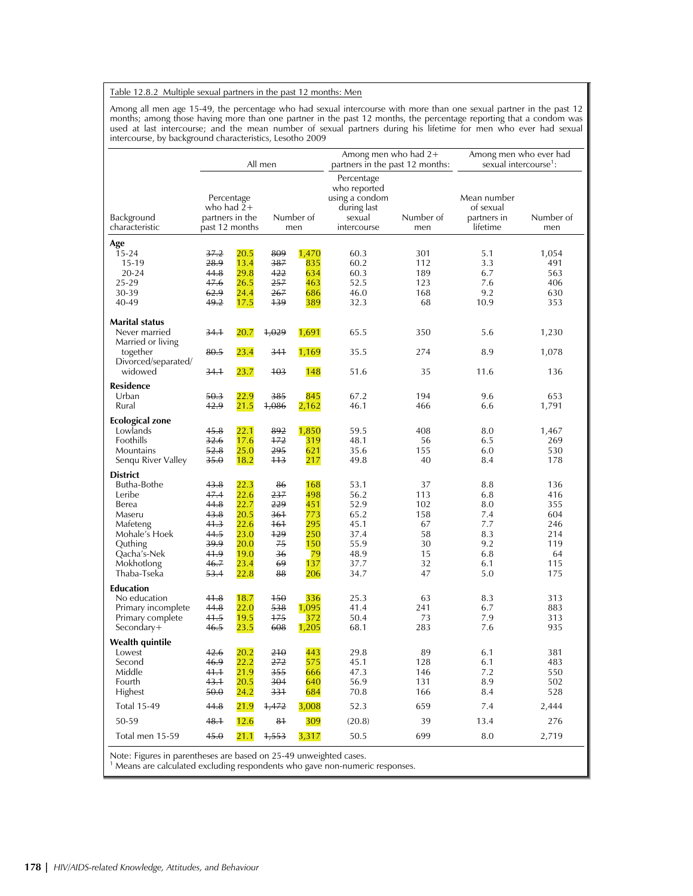#### Table 12.8.2 Multiple sexual partners in the past 12 months: Men

Among all men age 15-49, the percentage who had sexual intercourse with more than one sexual partner in the past 12 months; among those having more than one partner in the past 12 months, the percentage reporting that a condom was used at last intercourse; and the mean number of sexual partners during his lifetime for men who ever had sexual intercourse, by background characteristics, Lesotho 2009

|                                                                  | All men                                                         |              |                  |              | Among men who had $2+$<br>partners in the past 12 months:                            |                  | Among men who ever had<br>sexual intercourse <sup>1</sup> : |                  |  |
|------------------------------------------------------------------|-----------------------------------------------------------------|--------------|------------------|--------------|--------------------------------------------------------------------------------------|------------------|-------------------------------------------------------------|------------------|--|
| Background<br>characteristic                                     | Percentage<br>who had $2+$<br>partners in the<br>past 12 months |              | Number of<br>men |              | Percentage<br>who reported<br>using a condom<br>during last<br>sexual<br>intercourse | Number of<br>men | Mean number<br>of sexual<br>partners in<br>lifetime         | Number of<br>men |  |
| Age                                                              |                                                                 |              |                  |              |                                                                                      |                  |                                                             |                  |  |
| $15 - 24$                                                        | 37.2                                                            | 20.5         | 809              | 1,470        | 60.3                                                                                 | 301              | 5.1                                                         | 1,054            |  |
| 15-19                                                            | 28.9                                                            | 13.4         | 387              | 835          | 60.2                                                                                 | 112              | 3.3                                                         | 491              |  |
| 20-24                                                            | 44.8                                                            | 29.8         | 422              | 634          | 60.3                                                                                 | 189              | 6.7                                                         | 563              |  |
| 25-29<br>30-39                                                   | 47.6<br>62.9                                                    | 26.5<br>24.4 | 257<br>267       | 463<br>686   | 52.5<br>46.0                                                                         | 123<br>168       | 7.6<br>9.2                                                  | 406<br>630       |  |
| 40-49                                                            | 49.2                                                            | 17.5         | +39              | 389          | 32.3                                                                                 | 68               | 10.9                                                        | 353              |  |
| Marital status                                                   |                                                                 |              |                  |              |                                                                                      |                  |                                                             |                  |  |
| Never married<br>Married or living                               | 34.1                                                            | 20.7         | 4,029            | 1,691        | 65.5                                                                                 | 350              | 5.6                                                         | 1,230            |  |
| together<br>Divorced/separated/                                  | 80.5                                                            | 23.4         | 341              | 1,169        | 35.5                                                                                 | 274              | 8.9                                                         | 1,078            |  |
| widowed                                                          | 34.1                                                            | 23.7         | 103              | 148          | 51.6                                                                                 | 35               | 11.6                                                        | 136              |  |
| <b>Residence</b><br>Urban                                        |                                                                 |              |                  |              |                                                                                      |                  |                                                             |                  |  |
| Rural                                                            | 50.3<br>42.9                                                    | 22.9<br>21.5 | 385<br>4,086     | 845<br>2,162 | 67.2<br>46.1                                                                         | 194<br>466       | 9.6<br>6.6                                                  | 653<br>1,791     |  |
| Ecological zone                                                  |                                                                 |              |                  |              |                                                                                      |                  |                                                             |                  |  |
| Lowlands                                                         | 45.8                                                            | 22.1         | 892              | 1,850        | 59.5                                                                                 | 408              | 8.0                                                         | 1,467            |  |
| Foothills                                                        | 32.6                                                            | 17.6         | $+72$            | 319          | 48.1                                                                                 | 56               | 6.5                                                         | 269              |  |
| Mountains                                                        | 52.8                                                            | 25.0         | 295              | 621          | 35.6                                                                                 | 155              | 6.0                                                         | 530              |  |
| Senqu River Valley                                               | 35.0                                                            | 18.2         | 113              | 217          | 49.8                                                                                 | 40               | 8.4                                                         | 178              |  |
| <b>District</b>                                                  |                                                                 |              |                  |              |                                                                                      |                  |                                                             |                  |  |
| Butha-Bothe<br>Leribe                                            | 43.8<br>47.4                                                    | 22.3<br>22.6 | 86<br>237        | 168<br>498   | 53.1<br>56.2                                                                         | 37<br>113        | 8.8<br>6.8                                                  | 136<br>416       |  |
| Berea                                                            | 44.8                                                            | 22.7         | 229              | 451          | 52.9                                                                                 | 102              | 8.0                                                         | 355              |  |
| Maseru                                                           | 43.8                                                            | 20.5         | 361              | 773          | 65.2                                                                                 | 158              | 7.4                                                         | 604              |  |
| Mateteng                                                         | <del>41.3</del>                                                 | 22.6         | $+6+$            | 295          | 45.1                                                                                 | 67               | 7.7                                                         | 246              |  |
| Mohale's Hoek                                                    | 44.5                                                            | 23.0         | 129              | 250          | 37.4                                                                                 | 58               | 8.3                                                         | 214              |  |
| Quthing                                                          | 39.9                                                            | 20.0         | 75               | 150          | 55.9                                                                                 | 30               | 9.2                                                         | 119              |  |
| Qacha's-Nek                                                      | 41.9                                                            | 19.0         | 36               | 79           | 48.9                                                                                 | 15               | 6.8                                                         | 64               |  |
| Mokhotlong                                                       | 46.7                                                            | 23.4         | 69               | 137          | 37.7                                                                                 | 32               | 6.1                                                         | 115              |  |
| Thaba-Tseka                                                      | 53.4                                                            | 22.8         | 88               | 206          | 34.7                                                                                 | 47               | 5.0                                                         | 175              |  |
| <b>Education</b><br>No education                                 | 41.8                                                            | 18.7         | 150              | 336          | 25.3                                                                                 | 63               | 8.3                                                         | 313              |  |
| Primary incomplete                                               | 44.8                                                            | 22.0         | 538              | 1,095        | 41.4                                                                                 | 241              | 6.7                                                         | 883              |  |
| Primary complete                                                 | 41.5                                                            | 19.5         | $+75$            | 372          | 50.4                                                                                 | 73               | 7.9                                                         | 313              |  |
| Secondary+                                                       | 46.5                                                            | 23.5         | 608              | 1,205        | 68.1                                                                                 | 283              | 7.6                                                         | 935              |  |
| Wealth quintile                                                  |                                                                 |              |                  |              |                                                                                      |                  |                                                             |                  |  |
| Lowest                                                           | 42.6                                                            | 20.2         | 210              | 443          | 29.8                                                                                 | 89               | 6.1                                                         | 381              |  |
| Second                                                           | 46.9                                                            | 22.2         | 272              | 575          | 45.1                                                                                 | 128              | 6.1                                                         | 483              |  |
| Middle                                                           | 41.1                                                            | 21.9         | 355              | 666          | 47.3                                                                                 | 146              | 7.2                                                         | 550              |  |
| Fourth                                                           | 43.1                                                            | 20.5         | 304              | 640          | 56.9                                                                                 | 131              | 8.9                                                         | 502              |  |
| Highest                                                          | 50.0                                                            | 24.2         | 331              | 684          | 70.8                                                                                 | 166              | 8.4                                                         | 528              |  |
| <b>Total 15-49</b>                                               | 44.8                                                            | 21.9         | 1,472            | 3,008        | 52.3                                                                                 | 659              | 7.4                                                         | 2,444            |  |
| 50-59                                                            | 48.1                                                            | 12.6         | 81               | 309          | (20.8)                                                                               | 39               | 13.4                                                        | 276              |  |
| Total men 15-59                                                  | 45.0                                                            | 21.1         | 1,553            | 3,317        | 50.5                                                                                 | 699              | 8.0                                                         | 2,719            |  |
| Note: Figures in parantheses are based on 25,49 unweighted cases |                                                                 |              |                  |              |                                                                                      |                  |                                                             |                  |  |

Note: Figures in parentheses are based on 25-49 unweighted cases. 1 Means are calculated excluding respondents who gave non-numeric responses.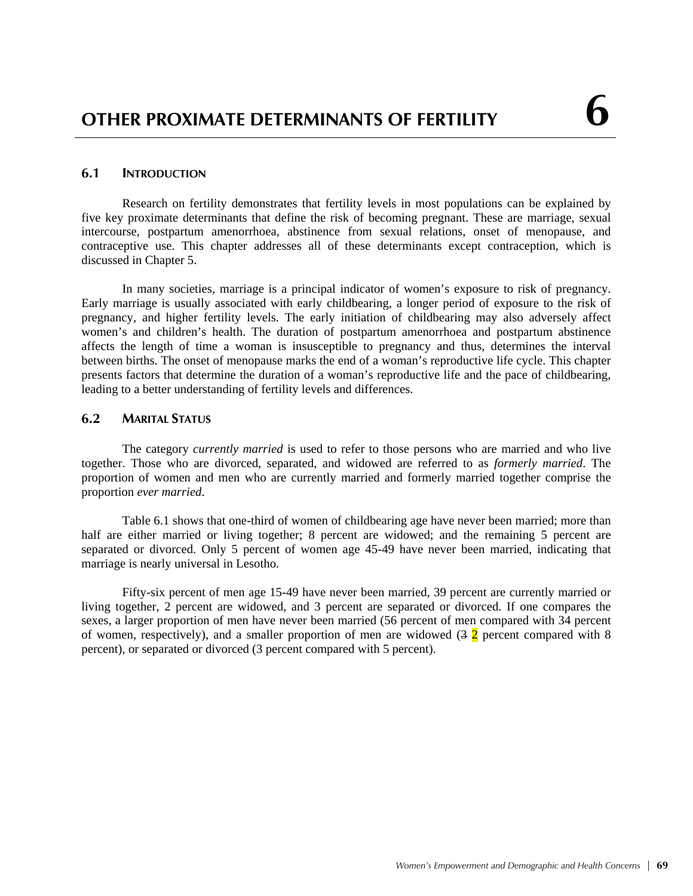### **6.1 INTRODUCTION**

Research on fertility demonstrates that fertility levels in most populations can be explained by five key proximate determinants that define the risk of becoming pregnant. These are marriage, sexual intercourse, postpartum amenorrhoea, abstinence from sexual relations, onset of menopause, and contraceptive use. This chapter addresses all of these determinants except contraception, which is discussed in Chapter 5.

In many societies, marriage is a principal indicator of women's exposure to risk of pregnancy. Early marriage is usually associated with early childbearing, a longer period of exposure to the risk of pregnancy, and higher fertility levels. The early initiation of childbearing may also adversely affect women's and children's health. The duration of postpartum amenorrhoea and postpartum abstinence affects the length of time a woman is insusceptible to pregnancy and thus, determines the interval between births. The onset of menopause marks the end of a woman's reproductive life cycle. This chapter presents factors that determine the duration of a woman's reproductive life and the pace of childbearing, leading to a better understanding of fertility levels and differences.

## **6.2 MARITAL STATUS**

The category *currently married* is used to refer to those persons who are married and who live together. Those who are divorced, separated, and widowed are referred to as *formerly married*. The proportion of women and men who are currently married and formerly married together comprise the proportion *ever married*.

Table 6.1 shows that one-third of women of childbearing age have never been married; more than half are either married or living together; 8 percent are widowed; and the remaining 5 percent are separated or divorced. Only 5 percent of women age 45-49 have never been married, indicating that marriage is nearly universal in Lesotho.

Fifty-six percent of men age 15-49 have never been married, 39 percent are currently married or living together, 2 percent are widowed, and 3 percent are separated or divorced. If one compares the sexes, a larger proportion of men have never been married (56 percent of men compared with 34 percent of women, respectively), and a smaller proportion of men are widowed  $(3 \ 2)$  percent compared with 8 percent), or separated or divorced (3 percent compared with 5 percent).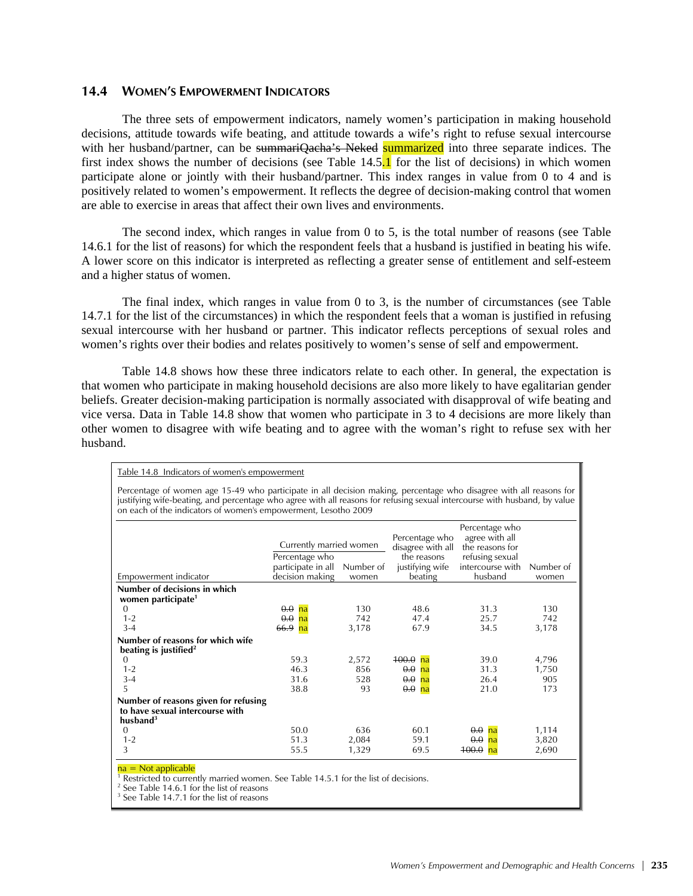### **14.4 WOMEN'S EMPOWERMENT INDICATORS**

The three sets of empowerment indicators, namely women's participation in making household decisions, attitude towards wife beating, and attitude towards a wife's right to refuse sexual intercourse with her husband/partner, can be summariQacha's Neked summarized into three separate indices. The first index shows the number of decisions (see Table  $14.5<sub>1</sub>$ ) for the list of decisions) in which women participate alone or jointly with their husband/partner. This index ranges in value from 0 to 4 and is positively related to women's empowerment. It reflects the degree of decision-making control that women are able to exercise in areas that affect their own lives and environments.

The second index, which ranges in value from 0 to 5, is the total number of reasons (see Table 14.6.1 for the list of reasons) for which the respondent feels that a husband is justified in beating his wife. A lower score on this indicator is interpreted as reflecting a greater sense of entitlement and self-esteem and a higher status of women.

The final index, which ranges in value from 0 to 3, is the number of circumstances (see Table 14.7.1 for the list of the circumstances) in which the respondent feels that a woman is justified in refusing sexual intercourse with her husband or partner. This indicator reflects perceptions of sexual roles and women's rights over their bodies and relates positively to women's sense of self and empowerment.

Table 14.8 shows how these three indicators relate to each other. In general, the expectation is that women who participate in making household decisions are also more likely to have egalitarian gender beliefs. Greater decision-making participation is normally associated with disapproval of wife beating and vice versa. Data in Table 14.8 show that women who participate in 3 to 4 decisions are more likely than other women to disagree with wife beating and to agree with the woman's right to refuse sex with her husband.

Table 14.8 Indicators of women's empowerment

Percentage of women age 15-49 who participate in all decision making, percentage who disagree with all reasons for justifying wife-beating, and percentage who agree with all reasons for refusing sexual intercourse with husband, by value on each of the indicators of women's empowerment, Lesotho 2009

| Empowerment indicator                                                                  | Currently married women<br>Percentage who<br>participate in all<br>decision making | Number of<br>women | Percentage who<br>disagree with all<br>the reasons<br>justifying wife<br>beating | Percentage who<br>agree with all<br>the reasons for<br>refusing sexual<br>intercourse with<br>husband | Number of<br>women |
|----------------------------------------------------------------------------------------|------------------------------------------------------------------------------------|--------------------|----------------------------------------------------------------------------------|-------------------------------------------------------------------------------------------------------|--------------------|
|                                                                                        |                                                                                    |                    |                                                                                  |                                                                                                       |                    |
| Number of decisions in which<br>women participate <sup>1</sup>                         |                                                                                    |                    |                                                                                  |                                                                                                       |                    |
| $\Omega$                                                                               | $0.0$ na                                                                           | 130                | 48.6                                                                             | 31.3                                                                                                  | 130                |
| $1 - 2$                                                                                | $\theta$ . $\theta$<br>na                                                          | 742                | 47.4                                                                             | 25.7                                                                                                  | 742                |
| $3 - 4$                                                                                | 66.9 na                                                                            | 3,178              | 67.9                                                                             | 34.5                                                                                                  | 3,178              |
| Number of reasons for which wife                                                       |                                                                                    |                    |                                                                                  |                                                                                                       |                    |
| beating is justified <sup>2</sup>                                                      |                                                                                    |                    |                                                                                  |                                                                                                       |                    |
| 0                                                                                      | 59.3                                                                               | 2,572              | $100.0$ na                                                                       | 39.0                                                                                                  | 4,796              |
| $1 - 2$                                                                                | 46.3                                                                               | 856                | 0.0<br>na                                                                        | 31.3                                                                                                  | 1,750              |
| $3 - 4$                                                                                | 31.6                                                                               | 528                | 0.0<br>na                                                                        | 26.4                                                                                                  | 905                |
| 5                                                                                      | 38.8                                                                               | 93                 | 0.0<br>na                                                                        | 21.0                                                                                                  | 173                |
| Number of reasons given for refusing<br>to have sexual intercourse with<br>husband $3$ |                                                                                    |                    |                                                                                  |                                                                                                       |                    |
| $\Omega$                                                                               | 50.0                                                                               | 636                | 60.1                                                                             | 0.0<br>na                                                                                             | 1,114              |
| $1 - 2$                                                                                | 51.3                                                                               | 2,084              | 59.1                                                                             | 0.0<br>na                                                                                             | 3,820              |
| 3                                                                                      | 55.5                                                                               | 1,329              | 69.5                                                                             | 100.0<br>na                                                                                           | 2,690              |
| $na = Not applicable$                                                                  |                                                                                    |                    |                                                                                  |                                                                                                       |                    |

1 Restricted to currently married women. See Table 14.5.1 for the list of decisions. 2

 $2$  See Table 14.6.1 for the list of reasons

<sup>3</sup> See Table 14.7.1 for the list of reasons